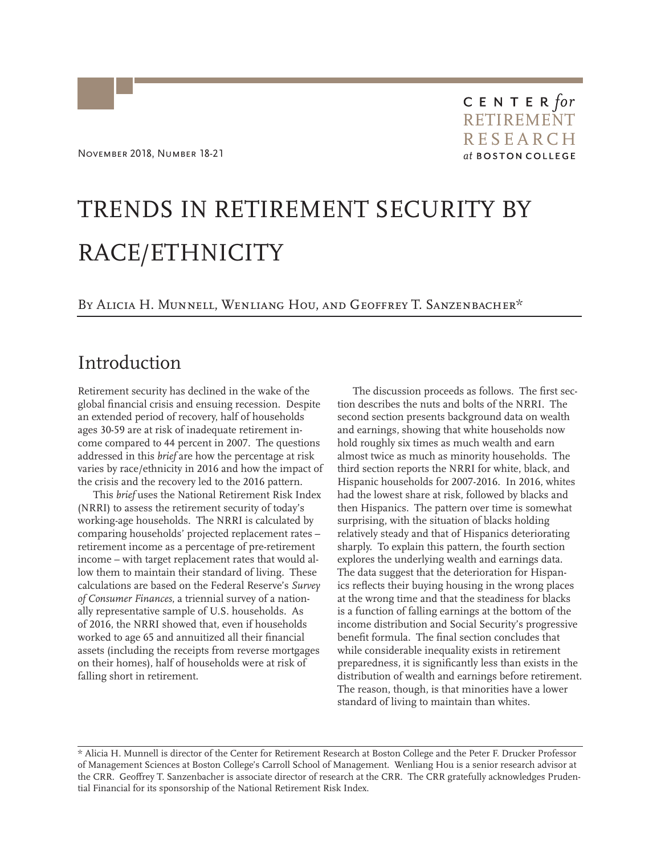# TRENDS IN RETIREMENT SECURITY BY RACE/ETHNICITY

#### BY ALICIA H. MUNNELL, WENLIANG HOU, AND GEOFFREY T. SANZENBACHER\*

### Introduction

Retirement security has declined in the wake of the global financial crisis and ensuing recession. Despite an extended period of recovery, half of households ages 30-59 are at risk of inadequate retirement income compared to 44 percent in 2007. The questions addressed in this *brief* are how the percentage at risk varies by race/ethnicity in 2016 and how the impact of the crisis and the recovery led to the 2016 pattern.

This *brief* uses the National Retirement Risk Index (NRRI) to assess the retirement security of today's working-age households. The NRRI is calculated by comparing households' projected replacement rates – retirement income as a percentage of pre-retirement income – with target replacement rates that would allow them to maintain their standard of living. These calculations are based on the Federal Reserve's *Survey of Consumer Finances*, a triennial survey of a nationally representative sample of U.S. households. As of 2016, the NRRI showed that, even if households worked to age 65 and annuitized all their financial assets (including the receipts from reverse mortgages on their homes), half of households were at risk of falling short in retirement.

The discussion proceeds as follows. The first section describes the nuts and bolts of the NRRI. The second section presents background data on wealth and earnings, showing that white households now hold roughly six times as much wealth and earn almost twice as much as minority households. The third section reports the NRRI for white, black, and Hispanic households for 2007-2016. In 2016, whites had the lowest share at risk, followed by blacks and then Hispanics. The pattern over time is somewhat surprising, with the situation of blacks holding relatively steady and that of Hispanics deteriorating sharply. To explain this pattern, the fourth section explores the underlying wealth and earnings data. The data suggest that the deterioration for Hispanics reflects their buying housing in the wrong places at the wrong time and that the steadiness for blacks is a function of falling earnings at the bottom of the income distribution and Social Security's progressive benefit formula. The final section concludes that while considerable inequality exists in retirement preparedness, it is significantly less than exists in the distribution of wealth and earnings before retirement. The reason, though, is that minorities have a lower standard of living to maintain than whites.

<sup>\*</sup> Alicia H. Munnell is director of the Center for Retirement Research at Boston College and the Peter F. Drucker Professor of Management Sciences at Boston College's Carroll School of Management. Wenliang Hou is a senior research advisor at the CRR. Geoffrey T. Sanzenbacher is associate director of research at the CRR. The CRR gratefully acknowledges Prudential Financial for its sponsorship of the National Retirement Risk Index.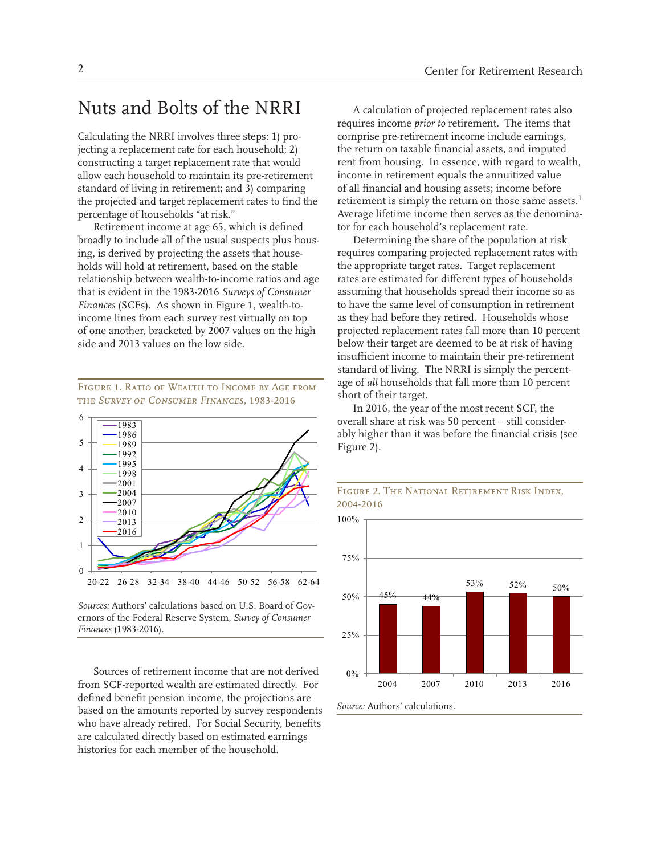### Nuts and Bolts of the NRRI

Calculating the NRRI involves three steps: 1) projecting a replacement rate for each household; 2) constructing a target replacement rate that would allow each household to maintain its pre-retirement standard of living in retirement; and 3) comparing the projected and target replacement rates to find the percentage of households "at risk."

Retirement income at age 65, which is defined broadly to include all of the usual suspects plus housing, is derived by projecting the assets that households will hold at retirement, based on the stable relationship between wealth-to-income ratios and age that is evident in the 1983-2016 *Surveys of Consumer Finances* (SCFs). As shown in Figure 1, wealth-toincome lines from each survey rest virtually on top of one another, bracketed by 2007 values on the high side and 2013 values on the low side.

Figure 1. Ratio of Wealth to Income by Age from the *Survey of Consumer Finances*, 1983-2016



*Sources:* Authors' calculations based on U.S. Board of Governors of the Federal Reserve System, *Survey of Consumer Finances* (1983-2016).

Sources of retirement income that are not derived from SCF-reported wealth are estimated directly. For defined benefit pension income, the projections are based on the amounts reported by survey respondents who have already retired. For Social Security, benefits are calculated directly based on estimated earnings histories for each member of the household.

A calculation of projected replacement rates also requires income *prior to* retirement. The items that comprise pre-retirement income include earnings, the return on taxable financial assets, and imputed rent from housing. In essence, with regard to wealth, income in retirement equals the annuitized value of all financial and housing assets; income before retirement is simply the return on those same assets.<sup>1</sup> Average lifetime income then serves as the denominator for each household's replacement rate.

Determining the share of the population at risk requires comparing projected replacement rates with the appropriate target rates. Target replacement rates are estimated for different types of households assuming that households spread their income so as to have the same level of consumption in retirement as they had before they retired. Households whose projected replacement rates fall more than 10 percent below their target are deemed to be at risk of having insufficient income to maintain their pre-retirement standard of living. The NRRI is simply the percentage of *all* households that fall more than 10 percent short of their target.

In 2016, the year of the most recent SCF, the overall share at risk was 50 percent – still considerably higher than it was before the financial crisis (see Figure 2).



#### Figure 2. The National Retirement Risk Index, 2004-2016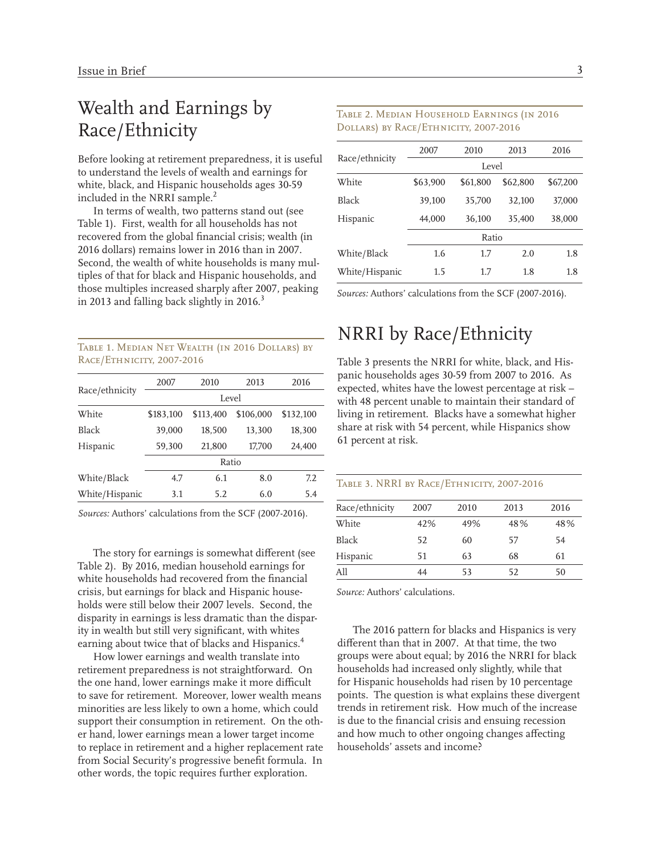# Wealth and Earnings by Race/Ethnicity

Before looking at retirement preparedness, it is useful to understand the levels of wealth and earnings for white, black, and Hispanic households ages 30-59 included in the NRRI sample.<sup>2</sup>

In terms of wealth, two patterns stand out (see Table 1). First, wealth for all households has not recovered from the global financial crisis; wealth (in 2016 dollars) remains lower in 2016 than in 2007. Second, the wealth of white households is many multiples of that for black and Hispanic households, and those multiples increased sharply after 2007, peaking in 2013 and falling back slightly in 2016.<sup>3</sup>

Table 1. Median Net Wealth (in 2016 Dollars) by Race/Ethnicity, 2007-2016

| Race/ethnicity | 2007      | 2010      | 2013      | 2016      |
|----------------|-----------|-----------|-----------|-----------|
|                | Level     |           |           |           |
| White          | \$183,100 | \$113,400 | \$106.000 | \$132.100 |
| Black          | 39,000    | 18,500    | 13,300    | 18,300    |
| Hispanic       | 59,300    | 21,800    | 17,700    | 24,400    |
|                |           | Ratio     |           |           |
| White/Black    | 4.7       | 6.1       | 8.0       | 7.2       |
| White/Hispanic | 3.1       | 5.2       | 6.0       | 5.4       |
|                |           |           |           |           |

*Sources:* Authors' calculations from the SCF (2007-2016).

The story for earnings is somewhat different (see Table 2). By 2016, median household earnings for white households had recovered from the financial crisis, but earnings for black and Hispanic households were still below their 2007 levels. Second, the disparity in earnings is less dramatic than the disparity in wealth but still very significant, with whites earning about twice that of blacks and Hispanics.<sup>4</sup>

How lower earnings and wealth translate into retirement preparedness is not straightforward. On the one hand, lower earnings make it more difficult to save for retirement. Moreover, lower wealth means minorities are less likely to own a home, which could support their consumption in retirement. On the other hand, lower earnings mean a lower target income to replace in retirement and a higher replacement rate from Social Security's progressive benefit formula. In other words, the topic requires further exploration.

#### Table 2. Median Household Earnings (in 2016 Dollars) by Race/Ethnicity, 2007-2016

|                | 2007     | 2010     | 2013     | 2016     |  |
|----------------|----------|----------|----------|----------|--|
| Race/ethnicity | Level    |          |          |          |  |
| White          | \$63,900 | \$61.800 | \$62,800 | \$67,200 |  |
| <b>Black</b>   | 39,100   | 35,700   | 32,100   | 37,000   |  |
| Hispanic       | 44,000   | 36,100   | 35.400   | 38,000   |  |
|                | Ratio    |          |          |          |  |
| White/Black    | 1.6      | 1.7      | 2.0      | 1.8      |  |
| White/Hispanic | 1.5      | 1.7      | 1.8      | 1.8      |  |

*Sources:* Authors' calculations from the SCF (2007-2016).

## NRRI by Race/Ethnicity

Table 3 presents the NRRI for white, black, and Hispanic households ages 30-59 from 2007 to 2016. As expected, whites have the lowest percentage at risk – with 48 percent unable to maintain their standard of living in retirement. Blacks have a somewhat higher share at risk with 54 percent, while Hispanics show 61 percent at risk.

#### Table 3. NRRI by Race/Ethnicity, 2007-2016

| Race/ethnicity | 2007 | 2010 | 2013 | 2016 |
|----------------|------|------|------|------|
| White          | 42%  | 49%  | 48%  | 48%  |
| Black          | 52   | 60   | 57   | 54   |
| Hispanic       | 51   | 63   | 68   | 61   |
| A11            | 44   | 53   | 52   | 50   |

*Source:* Authors' calculations.

The 2016 pattern for blacks and Hispanics is very different than that in 2007. At that time, the two groups were about equal; by 2016 the NRRI for black households had increased only slightly, while that for Hispanic households had risen by 10 percentage points. The question is what explains these divergent trends in retirement risk. How much of the increase is due to the financial crisis and ensuing recession and how much to other ongoing changes affecting households' assets and income?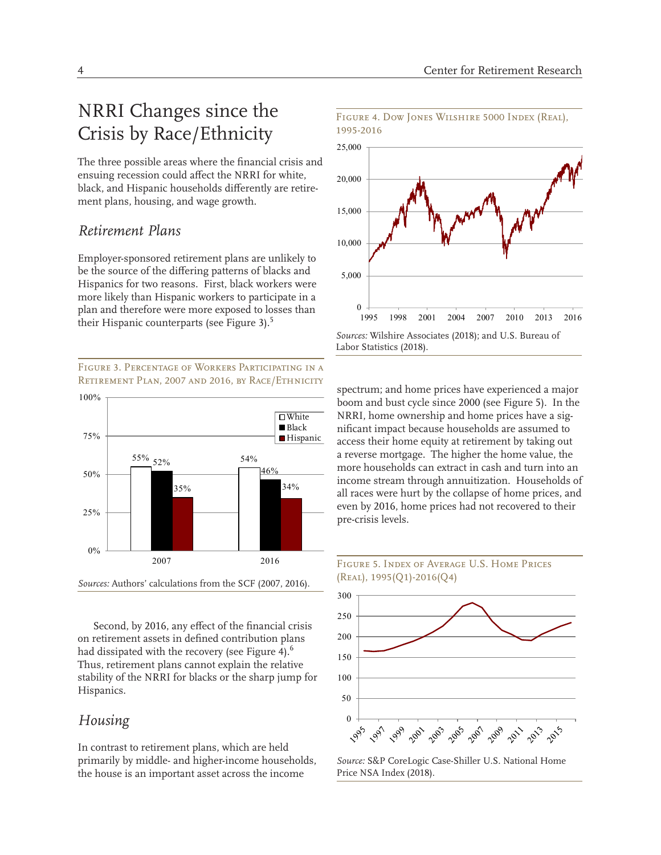# NRRI Changes since the Crisis by Race/Ethnicity

The three possible areas where the financial crisis and ensuing recession could affect the NRRI for white, black, and Hispanic households differently are retirement plans, housing, and wage growth.

#### *Retirement Plans*

Employer-sponsored retirement plans are unlikely to be the source of the differing patterns of blacks and Hispanics for two reasons. First, black workers were more likely than Hispanic workers to participate in a plan and therefore were more exposed to losses than their Hispanic counterparts (see Figure 3).<sup>5</sup>

Figure 3. Percentage of Workers Participating in a Retirement Plan, 2007 and 2016, by Race/Ethnicity



Second, by 2016, any effect of the financial crisis on retirement assets in defined contribution plans had dissipated with the recovery (see Figure 4). $^6$ Thus, retirement plans cannot explain the relative stability of the NRRI for blacks or the sharp jump for Hispanics.

### *Housing*

In contrast to retirement plans, which are held primarily by middle- and higher-income households, the house is an important asset across the income



Figure 4. Dow Jones Wilshire 5000 Index (Real),

*Sources:* Wilshire Associates (2018); and U.S. Bureau of Labor Statistics (2018).

spectrum; and home prices have experienced a major boom and bust cycle since 2000 (see Figure 5). In the NRRI, home ownership and home prices have a significant impact because households are assumed to access their home equity at retirement by taking out a reverse mortgage. The higher the home value, the more households can extract in cash and turn into an income stream through annuitization. Households of all races were hurt by the collapse of home prices, and even by 2016, home prices had not recovered to their pre-crisis levels.





*Source:* S&P CoreLogic Case-Shiller U.S. National Home Price NSA Index (2018).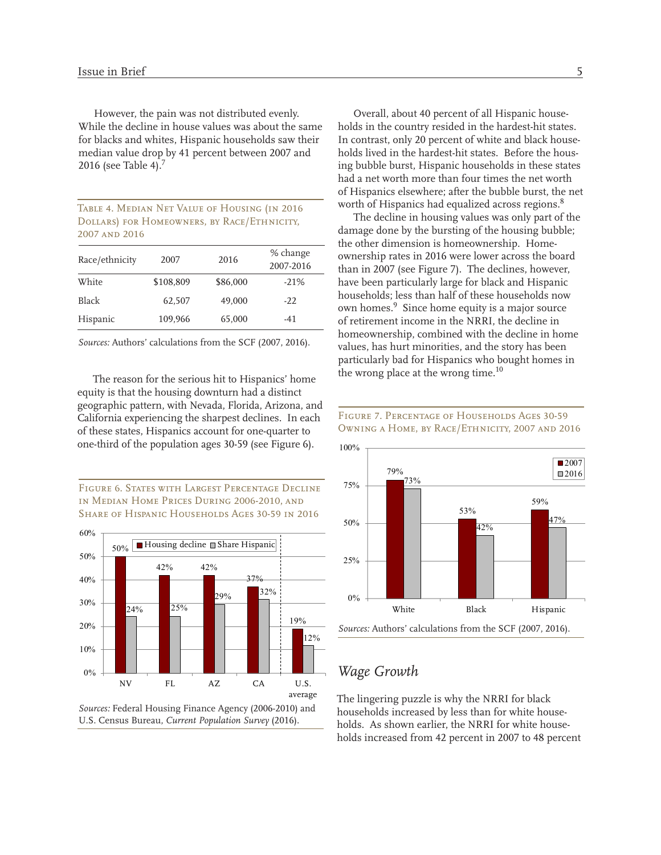However, the pain was not distributed evenly. While the decline in house values was about the same for blacks and whites, Hispanic households saw their median value drop by 41 percent between 2007 and 2016 (see Table 4). $<sup>7</sup>$ </sup>

| TABLE 4. MEDIAN NET VALUE OF HOUSING (IN 2016 |
|-----------------------------------------------|
| DOLLARS) FOR HOMEOWNERS, BY RACE/ETHNICITY,   |
| 2007 AND 2016                                 |

| 2007      | 2016     | % change<br>2007-2016 |
|-----------|----------|-----------------------|
| \$108,809 | \$86,000 | $-21%$                |
| 62,507    | 49,000   | $-22$                 |
| 109,966   | 65,000   | -41                   |
|           |          |                       |

*Sources:* Authors' calculations from the SCF (2007, 2016).

The reason for the serious hit to Hispanics' home equity is that the housing downturn had a distinct geographic pattern, with Nevada, Florida, Arizona, and California experiencing the sharpest declines. In each of these states, Hispanics account for one-quarter to one-third of the population ages 30-59 (see Figure 6).

Figure 6. States with Largest Percentage Decline in Median Home Prices During 2006-2010, and Share of Hispanic Households Ages 30-59 in 2016



Overall, about 40 percent of all Hispanic households in the country resided in the hardest-hit states. In contrast, only 20 percent of white and black households lived in the hardest-hit states. Before the housing bubble burst, Hispanic households in these states had a net worth more than four times the net worth of Hispanics elsewhere; after the bubble burst, the net worth of Hispanics had equalized across regions.<sup>8</sup>

The decline in housing values was only part of the damage done by the bursting of the housing bubble; the other dimension is homeownership. Homeownership rates in 2016 were lower across the board than in 2007 (see Figure 7). The declines, however, have been particularly large for black and Hispanic households; less than half of these households now own homes.<sup>9</sup> Since home equity is a major source of retirement income in the NRRI, the decline in homeownership, combined with the decline in home values, has hurt minorities, and the story has been particularly bad for Hispanics who bought homes in the wrong place at the wrong time. $^{10}$ 

Figure 7. Percentage of Households Ages 30-59



### *Wage Growth*

The lingering puzzle is why the NRRI for black households increased by less than for white households. As shown earlier, the NRRI for white households increased from 42 percent in 2007 to 48 percent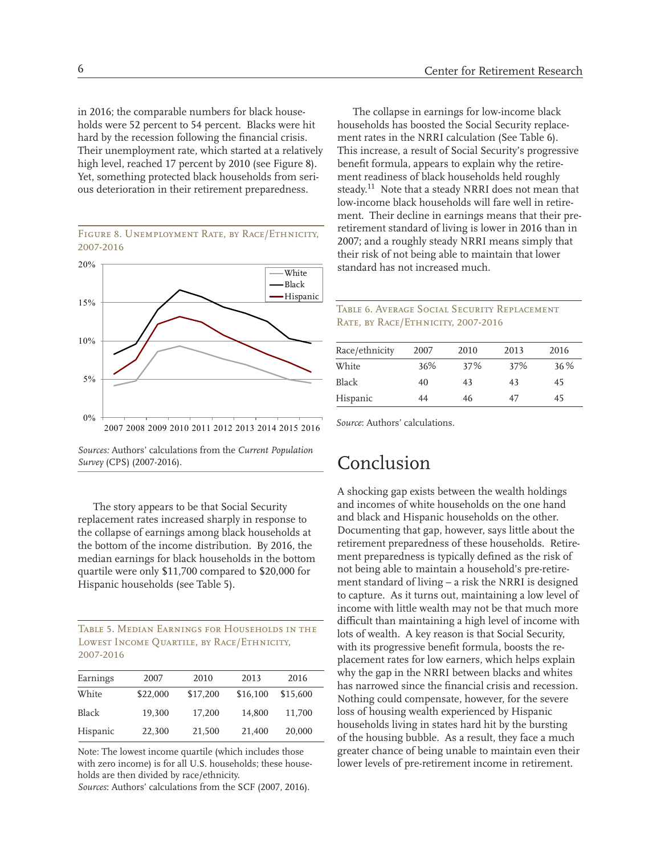in 2016; the comparable numbers for black households were 52 percent to 54 percent. Blacks were hit hard by the recession following the financial crisis. Their unemployment rate, which started at a relatively high level, reached 17 percent by 2010 (see Figure 8). Yet, something protected black households from serious deterioration in their retirement preparedness.

Figure 8. Unemployment Rate, by Race/Ethnicity, 2007-2016



*Sources:* Authors' calculations from the *Current Population Survey* (CPS) (2007-2016).

The story appears to be that Social Security replacement rates increased sharply in response to the collapse of earnings among black households at the bottom of the income distribution. By 2016, the median earnings for black households in the bottom quartile were only \$11,700 compared to \$20,000 for Hispanic households (see Table 5).

Table 5. Median Earnings for Households in the Lowest Income Quartile, by Race/Ethnicity, 2007-2016

| Earnings     | 2007     | 2010     | 2013     | 2016     |
|--------------|----------|----------|----------|----------|
| White        | \$22,000 | \$17,200 | \$16,100 | \$15,600 |
| <b>Black</b> | 19.300   | 17.200   | 14.800   | 11.700   |
| Hispanic     | 22,300   | 21,500   | 21,400   | 20,000   |

Note: The lowest income quartile (which includes those with zero income) is for all U.S. households; these households are then divided by race/ethnicity.

*Sources*: Authors' calculations from the SCF (2007, 2016).

The collapse in earnings for low-income black households has boosted the Social Security replacement rates in the NRRI calculation (See Table 6). This increase, a result of Social Security's progressive benefit formula, appears to explain why the retirement readiness of black households held roughly steady.<sup>11</sup> Note that a steady NRRI does not mean that low-income black households will fare well in retirement. Their decline in earnings means that their preretirement standard of living is lower in 2016 than in 2007; and a roughly steady NRRI means simply that their risk of not being able to maintain that lower standard has not increased much.

#### Table 6. Average Social Security Replacement RATE, BY RACE/ETHNICITY, 2007-2016

| Race/ethnicity | 2007 | 2010 | 2013 | 2016 |
|----------------|------|------|------|------|
| White          | 36%  | 37%  | 37%  | 36 % |
| <b>Black</b>   | 40   | 43   | 43   | 45   |
| Hispanic       | 44   | 46   | 47   | 45   |

*Source*: Authors' calculations.

# Conclusion

A shocking gap exists between the wealth holdings and incomes of white households on the one hand and black and Hispanic households on the other. Documenting that gap, however, says little about the retirement preparedness of these households. Retirement preparedness is typically defined as the risk of not being able to maintain a household's pre-retirement standard of living – a risk the NRRI is designed to capture. As it turns out, maintaining a low level of income with little wealth may not be that much more difficult than maintaining a high level of income with lots of wealth. A key reason is that Social Security, with its progressive benefit formula, boosts the replacement rates for low earners, which helps explain why the gap in the NRRI between blacks and whites has narrowed since the financial crisis and recession. Nothing could compensate, however, for the severe loss of housing wealth experienced by Hispanic households living in states hard hit by the bursting of the housing bubble. As a result, they face a much greater chance of being unable to maintain even their lower levels of pre-retirement income in retirement.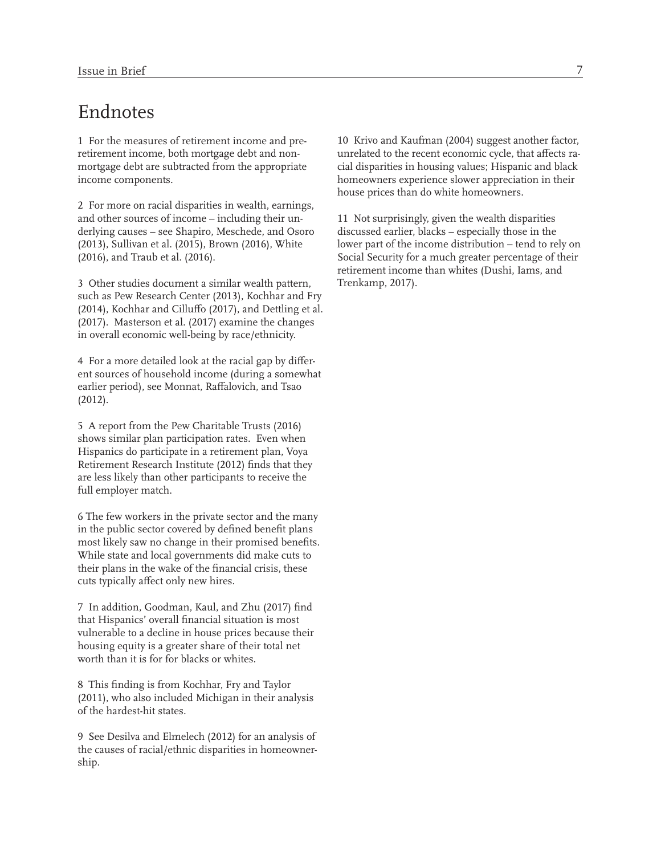### Endnotes

1 For the measures of retirement income and preretirement income, both mortgage debt and nonmortgage debt are subtracted from the appropriate income components.

2 For more on racial disparities in wealth, earnings, and other sources of income – including their underlying causes – see Shapiro, Meschede, and Osoro (2013), Sullivan et al. (2015), Brown (2016), White (2016), and Traub et al. (2016).

3 Other studies document a similar wealth pattern, such as Pew Research Center (2013), Kochhar and Fry (2014), Kochhar and Cilluffo (2017), and Dettling et al. (2017). Masterson et al. (2017) examine the changes in overall economic well-being by race/ethnicity.

4 For a more detailed look at the racial gap by different sources of household income (during a somewhat earlier period), see Monnat, Raffalovich, and Tsao (2012).

5 A report from the Pew Charitable Trusts (2016) shows similar plan participation rates. Even when Hispanics do participate in a retirement plan, Voya Retirement Research Institute (2012) finds that they are less likely than other participants to receive the full employer match.

6 The few workers in the private sector and the many in the public sector covered by defined benefit plans most likely saw no change in their promised benefits. While state and local governments did make cuts to their plans in the wake of the financial crisis, these cuts typically affect only new hires.

7 In addition, Goodman, Kaul, and Zhu (2017) find that Hispanics' overall financial situation is most vulnerable to a decline in house prices because their housing equity is a greater share of their total net worth than it is for for blacks or whites.

8 This finding is from Kochhar, Fry and Taylor (2011), who also included Michigan in their analysis of the hardest-hit states.

9 See Desilva and Elmelech (2012) for an analysis of the causes of racial/ethnic disparities in homeownership.

10 Krivo and Kaufman (2004) suggest another factor, unrelated to the recent economic cycle, that affects racial disparities in housing values; Hispanic and black homeowners experience slower appreciation in their house prices than do white homeowners.

11 Not surprisingly, given the wealth disparities discussed earlier, blacks – especially those in the lower part of the income distribution – tend to rely on Social Security for a much greater percentage of their retirement income than whites (Dushi, Iams, and Trenkamp, 2017).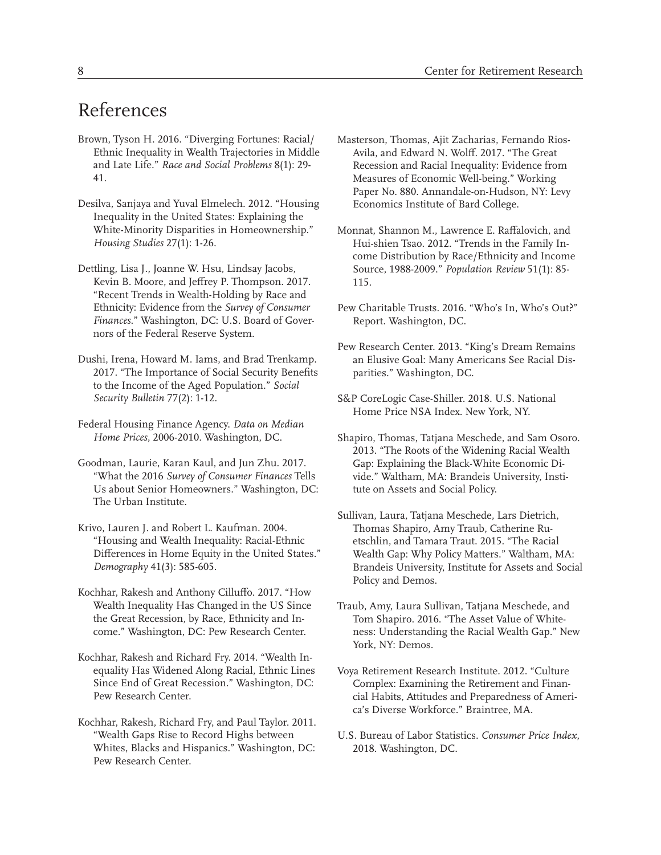# References

- Brown, Tyson H. 2016. "Diverging Fortunes: Racial/ Ethnic Inequality in Wealth Trajectories in Middle and Late Life." *Race and Social Problems* 8(1): 29- 41.
- Desilva, Sanjaya and Yuval Elmelech. 2012. "Housing Inequality in the United States: Explaining the White-Minority Disparities in Homeownership." *Housing Studies* 27(1): 1-26.
- Dettling, Lisa J., Joanne W. Hsu, Lindsay Jacobs, Kevin B. Moore, and Jeffrey P. Thompson. 2017. "Recent Trends in Wealth-Holding by Race and Ethnicity: Evidence from the *Survey of Consumer Finances*." Washington, DC: U.S. Board of Governors of the Federal Reserve System.
- Dushi, Irena, Howard M. Iams, and Brad Trenkamp. 2017. "The Importance of Social Security Benefits to the Income of the Aged Population." *Social Security Bulletin* 77(2): 1-12.
- Federal Housing Finance Agency. *Data on Median Home Prices*, 2006-2010. Washington, DC.
- Goodman, Laurie, Karan Kaul, and Jun Zhu. 2017. "What the 2016 *Survey of Consumer Finances* Tells Us about Senior Homeowners." Washington, DC: The Urban Institute.
- Krivo, Lauren J. and Robert L. Kaufman. 2004. "Housing and Wealth Inequality: Racial-Ethnic Differences in Home Equity in the United States." *Demography* 41(3): 585-605.
- Kochhar, Rakesh and Anthony Cilluffo. 2017. "How Wealth Inequality Has Changed in the US Since the Great Recession, by Race, Ethnicity and Income." Washington, DC: Pew Research Center.
- Kochhar, Rakesh and Richard Fry. 2014. "Wealth Inequality Has Widened Along Racial, Ethnic Lines Since End of Great Recession." Washington, DC: Pew Research Center.
- Kochhar, Rakesh, Richard Fry, and Paul Taylor. 2011. "Wealth Gaps Rise to Record Highs between Whites, Blacks and Hispanics." Washington, DC: Pew Research Center.
- Masterson, Thomas, Ajit Zacharias, Fernando Rios-Avila, and Edward N. Wolff. 2017. "The Great Recession and Racial Inequality: Evidence from Measures of Economic Well-being." Working Paper No. 880. Annandale-on-Hudson, NY: Levy Economics Institute of Bard College.
- Monnat, Shannon M., Lawrence E. Raffalovich, and Hui-shien Tsao. 2012. "Trends in the Family Income Distribution by Race/Ethnicity and Income Source, 1988-2009." *Population Review* 51(1): 85- 115.
- Pew Charitable Trusts. 2016. "Who's In, Who's Out?" Report. Washington, DC.
- Pew Research Center. 2013. "King's Dream Remains an Elusive Goal: Many Americans See Racial Disparities." Washington, DC.
- S&P CoreLogic Case-Shiller. 2018. U.S. National Home Price NSA Index. New York, NY.
- Shapiro, Thomas, Tatjana Meschede, and Sam Osoro. 2013. "The Roots of the Widening Racial Wealth Gap: Explaining the Black-White Economic Divide." Waltham, MA: Brandeis University, Institute on Assets and Social Policy.
- Sullivan, Laura, Tatjana Meschede, Lars Dietrich, Thomas Shapiro, Amy Traub, Catherine Ruetschlin, and Tamara Traut. 2015. "The Racial Wealth Gap: Why Policy Matters." Waltham, MA: Brandeis University, Institute for Assets and Social Policy and Demos.
- Traub, Amy, Laura Sullivan, Tatjana Meschede, and Tom Shapiro. 2016. "The Asset Value of Whiteness: Understanding the Racial Wealth Gap." New York, NY: Demos.
- Voya Retirement Research Institute. 2012. "Culture Complex: Examining the Retirement and Financial Habits, Attitudes and Preparedness of America's Diverse Workforce." Braintree, MA.
- U.S. Bureau of Labor Statistics. *Consumer Price Index*, 2018. Washington, DC.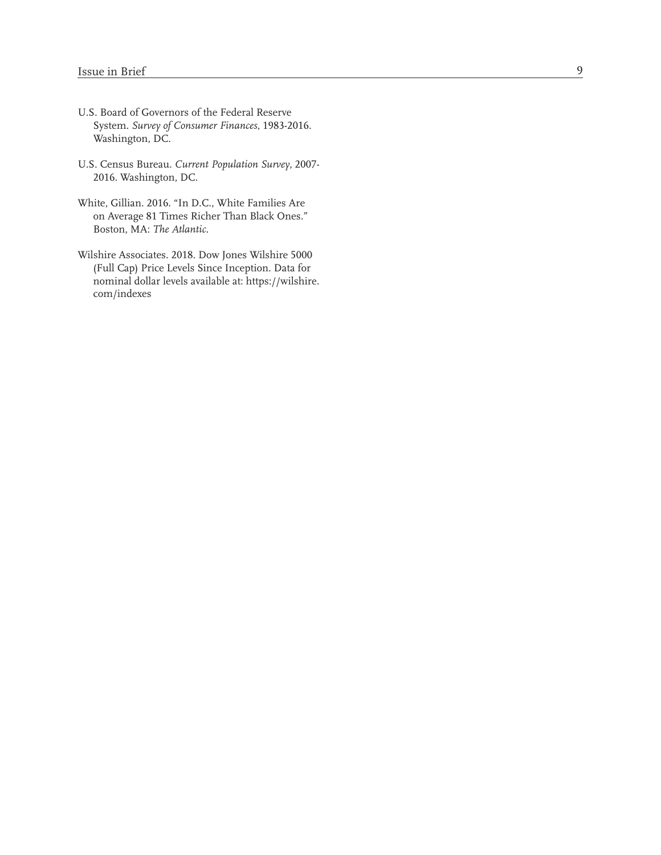- U.S. Board of Governors of the Federal Reserve System. *Survey of Consumer Finances*, 1983-2016. Washington, DC.
- U.S. Census Bureau. *Current Population Survey*, 2007- 2016. Washington, DC.
- White, Gillian. 2016. "In D.C., White Families Are on Average 81 Times Richer Than Black Ones." Boston, MA: *The Atlantic* .
- Wilshire Associates. 2018. Dow Jones Wilshire 5000 (Full Cap) Price Levels Since Inception. Data for nominal dollar levels available at: https://wilshire. com/indexes